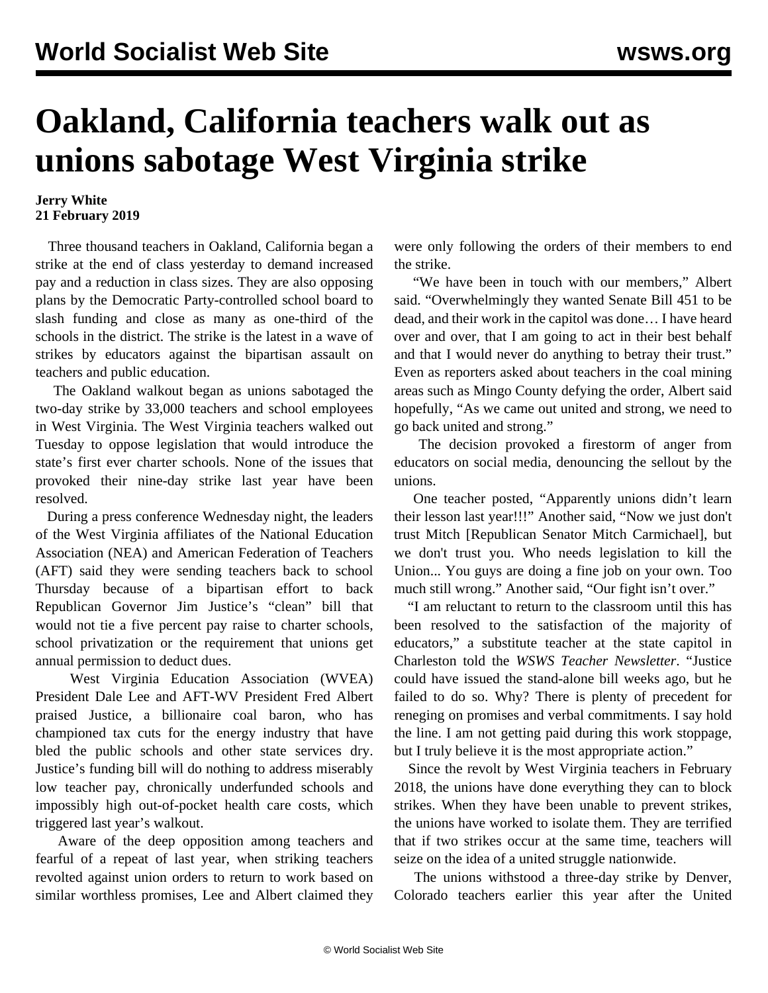## **Oakland, California teachers walk out as unions sabotage West Virginia strike**

## **Jerry White 21 February 2019**

 Three thousand teachers in Oakland, California began a strike at the end of class yesterday to demand increased pay and a reduction in class sizes. They are also opposing plans by the Democratic Party-controlled school board to slash funding and close as many as one-third of the schools in the district. The strike is the latest in a wave of strikes by educators against the bipartisan assault on teachers and public education.

 The Oakland walkout began as unions sabotaged the two-day strike by 33,000 teachers and school employees in West Virginia. The West Virginia teachers walked out Tuesday to oppose legislation that would introduce the state's first ever charter schools. None of the issues that provoked their nine-day strike last year have been resolved.

 During a press conference Wednesday night, the leaders of the West Virginia affiliates of the National Education Association (NEA) and American Federation of Teachers (AFT) said they were sending teachers back to school Thursday because of a bipartisan effort to back Republican Governor Jim Justice's "clean" bill that would not tie a five percent pay raise to charter schools, school privatization or the requirement that unions get annual permission to deduct dues.

 West Virginia Education Association (WVEA) President Dale Lee and AFT-WV President Fred Albert praised Justice, a billionaire coal baron, who has championed tax cuts for the energy industry that have bled the public schools and other state services dry. Justice's funding bill will do nothing to address miserably low teacher pay, chronically underfunded schools and impossibly high out-of-pocket health care costs, which triggered last year's walkout.

 Aware of the deep opposition among teachers and fearful of a repeat of last year, when striking teachers revolted against union orders to return to work based on similar worthless promises, Lee and Albert claimed they

were only following the orders of their members to end the strike.

 "We have been in touch with our members," Albert said. "Overwhelmingly they wanted Senate Bill 451 to be dead, and their work in the capitol was done… I have heard over and over, that I am going to act in their best behalf and that I would never do anything to betray their trust." Even as reporters asked about teachers in the coal mining areas such as Mingo County defying the order, Albert said hopefully, "As we came out united and strong, we need to go back united and strong."

 The decision provoked a firestorm of anger from educators on social media, denouncing the sellout by the unions.

 One teacher posted, "Apparently unions didn't learn their lesson last year!!!" Another said, "Now we just don't trust Mitch [Republican Senator Mitch Carmichael], but we don't trust you. Who needs legislation to kill the Union... You guys are doing a fine job on your own. Too much still wrong." Another said, "Our fight isn't over."

 "I am reluctant to return to the classroom until this has been resolved to the satisfaction of the majority of educators," a substitute teacher at the state capitol in Charleston told the *WSWS Teacher Newsletter*. "Justice could have issued the stand-alone bill weeks ago, but he failed to do so. Why? There is plenty of precedent for reneging on promises and verbal commitments. I say hold the line. I am not getting paid during this work stoppage, but I truly believe it is the most appropriate action."

 Since the revolt by West Virginia teachers in February 2018, the unions have done everything they can to block strikes. When they have been unable to prevent strikes, the unions have worked to isolate them. They are terrified that if two strikes occur at the same time, teachers will seize on the idea of a united struggle nationwide.

 The unions withstood a three-day strike by Denver, Colorado teachers earlier this year after the United